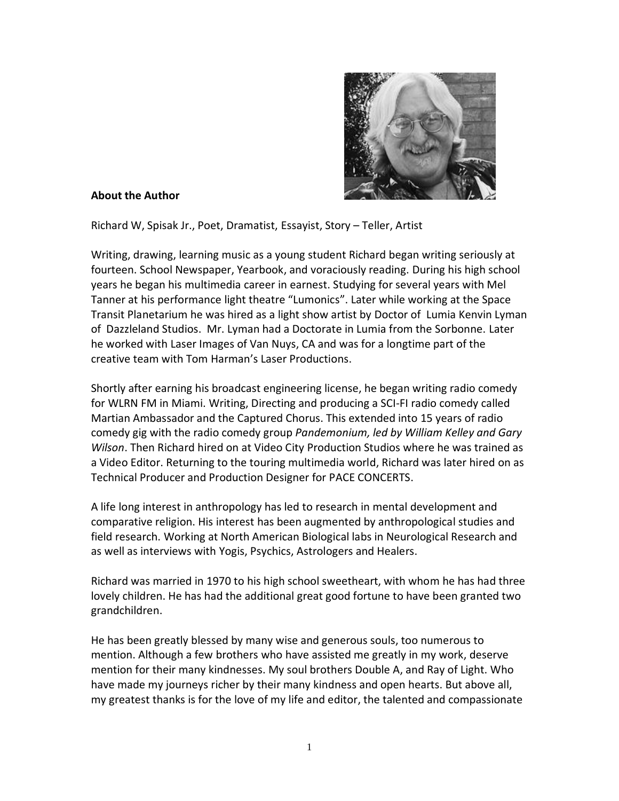

## **About the Author**

Richard W, Spisak Jr., Poet, Dramatist, Essayist, Story – Teller, Artist

Writing, drawing, learning music as a young student Richard began writing seriously at fourteen. School Newspaper, Yearbook, and voraciously reading. During his high school years he began his multimedia career in earnest. Studying for several years with Mel Tanner at his performance light theatre "Lumonics". Later while working at the Space Transit Planetarium he was hired as a light show artist by Doctor of Lumia Kenvin Lyman of Dazzleland Studios. Mr. Lyman had a Doctorate in Lumia from the Sorbonne. Later he worked with Laser Images of Van Nuys, CA and was for a longtime part of the creative team with Tom Harman's Laser Productions.

Shortly after earning his broadcast engineering license, he began writing radio comedy for WLRN FM in Miami. Writing, Directing and producing a SCI-FI radio comedy called Martian Ambassador and the Captured Chorus. This extended into 15 years of radio comedy gig with the radio comedy group *Pandemonium, led by William Kelley and Gary Wilson*. Then Richard hired on at Video City Production Studios where he was trained as a Video Editor. Returning to the touring multimedia world, Richard was later hired on as Technical Producer and Production Designer for PACE CONCERTS.

A life long interest in anthropology has led to research in mental development and comparative religion. His interest has been augmented by anthropological studies and field research. Working at North American Biological labs in Neurological Research and as well as interviews with Yogis, Psychics, Astrologers and Healers.

Richard was married in 1970 to his high school sweetheart, with whom he has had three lovely children. He has had the additional great good fortune to have been granted two grandchildren.

He has been greatly blessed by many wise and generous souls, too numerous to mention. Although a few brothers who have assisted me greatly in my work, deserve mention for their many kindnesses. My soul brothers Double A, and Ray of Light. Who have made my journeys richer by their many kindness and open hearts. But above all, my greatest thanks is for the love of my life and editor, the talented and compassionate